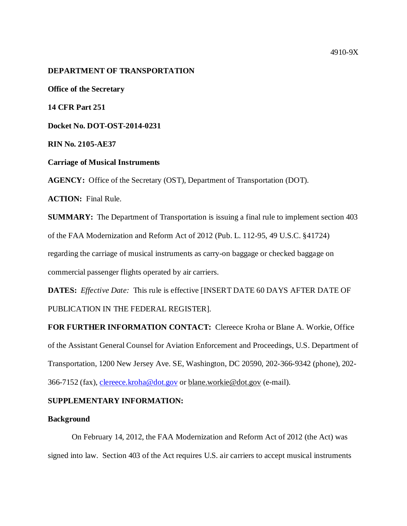#### 4910-9X

#### **DEPARTMENT OF TRANSPORTATION**

**Office of the Secretary**

**14 CFR Part 251**

**Docket No. DOT-OST-2014-0231**

**RIN No. 2105-AE37**

**Carriage of Musical Instruments** 

**AGENCY:** Office of the Secretary (OST), Department of Transportation (DOT).

**ACTION:** Final Rule.

**SUMMARY:** The Department of Transportation is issuing a final rule to implement section 403 of the FAA Modernization and Reform Act of 2012 (Pub. L. 112-95, 49 U.S.C. §41724) regarding the carriage of musical instruments as carry-on baggage or checked baggage on commercial passenger flights operated by air carriers.

**DATES:** *Effective Date:* This rule is effective [INSERT DATE 60 DAYS AFTER DATE OF PUBLICATION IN THE FEDERAL REGISTER].

**FOR FURTHER INFORMATION CONTACT:** Clereece Kroha or Blane A. Workie, Office of the Assistant General Counsel for Aviation Enforcement and Proceedings, U.S. Department of Transportation, 1200 New Jersey Ave. SE, Washington, DC 20590, 202-366-9342 (phone), 202- 366-7152 (fax), [clereece.kroha@dot.gov](mailto:clereece.kroha@dot.gov) or [blane.workie@dot.gov](mailto:blane.workie@dot.gov) (e-mail).

# **SUPPLEMENTARY INFORMATION:**

#### **Background**

On February 14, 2012, the FAA Modernization and Reform Act of 2012 (the Act) was signed into law. Section 403 of the Act requires U.S. air carriers to accept musical instruments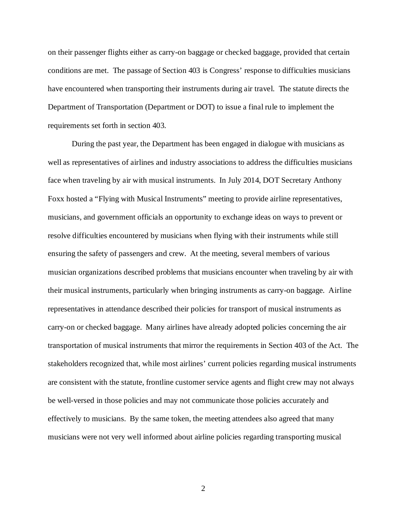on their passenger flights either as carry-on baggage or checked baggage, provided that certain conditions are met. The passage of Section 403 is Congress' response to difficulties musicians have encountered when transporting their instruments during air travel. The statute directs the Department of Transportation (Department or DOT) to issue a final rule to implement the requirements set forth in section 403.

During the past year, the Department has been engaged in dialogue with musicians as well as representatives of airlines and industry associations to address the difficulties musicians face when traveling by air with musical instruments. In July 2014, DOT Secretary Anthony Foxx hosted a "Flying with Musical Instruments" meeting to provide airline representatives, musicians, and government officials an opportunity to exchange ideas on ways to prevent or resolve difficulties encountered by musicians when flying with their instruments while still ensuring the safety of passengers and crew. At the meeting, several members of various musician organizations described problems that musicians encounter when traveling by air with their musical instruments, particularly when bringing instruments as carry-on baggage. Airline representatives in attendance described their policies for transport of musical instruments as carry-on or checked baggage. Many airlines have already adopted policies concerning the air transportation of musical instruments that mirror the requirements in Section 403 of the Act. The stakeholders recognized that, while most airlines' current policies regarding musical instruments are consistent with the statute, frontline customer service agents and flight crew may not always be well-versed in those policies and may not communicate those policies accurately and effectively to musicians. By the same token, the meeting attendees also agreed that many musicians were not very well informed about airline policies regarding transporting musical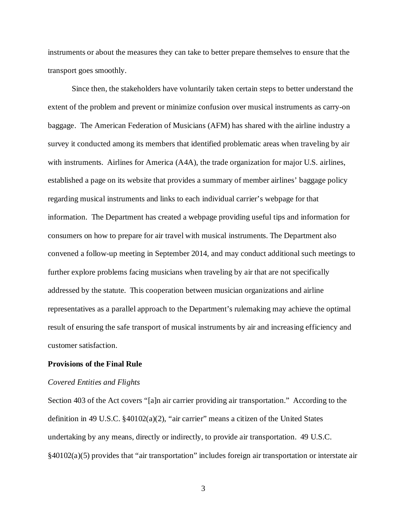instruments or about the measures they can take to better prepare themselves to ensure that the transport goes smoothly.

Since then, the stakeholders have voluntarily taken certain steps to better understand the extent of the problem and prevent or minimize confusion over musical instruments as carry-on baggage. The American Federation of Musicians (AFM) has shared with the airline industry a survey it conducted among its members that identified problematic areas when traveling by air with instruments. Airlines for America (A4A), the trade organization for major U.S. airlines, established a page on its website that provides a summary of member airlines' baggage policy regarding musical instruments and links to each individual carrier's webpage for that information. The Department has created a webpage providing useful tips and information for consumers on how to prepare for air travel with musical instruments. The Department also convened a follow-up meeting in September 2014, and may conduct additional such meetings to further explore problems facing musicians when traveling by air that are not specifically addressed by the statute. This cooperation between musician organizations and airline representatives as a parallel approach to the Department's rulemaking may achieve the optimal result of ensuring the safe transport of musical instruments by air and increasing efficiency and customer satisfaction.

# **Provisions of the Final Rule**

#### *Covered Entities and Flights*

Section 403 of the Act covers "[a]n air carrier providing air transportation." According to the definition in 49 U.S.C. §40102(a)(2), "air carrier" means a citizen of the United States undertaking by any means, directly or indirectly, to provide air transportation. 49 U.S.C. §40102(a)(5) provides that "air transportation" includes foreign air transportation or interstate air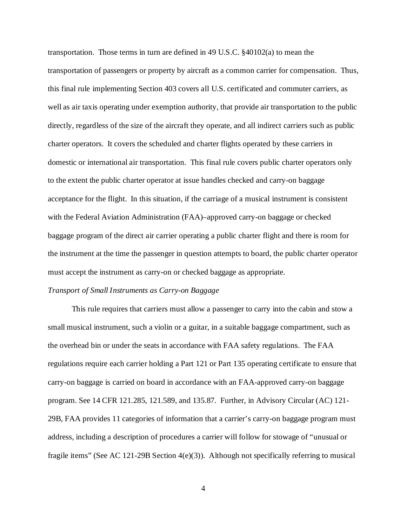transportation. Those terms in turn are defined in 49 U.S.C. §40102(a) to mean the transportation of passengers or property by aircraft as a common carrier for compensation. Thus, this final rule implementing Section 403 covers all U.S. certificated and commuter carriers, as well as air taxis operating under exemption authority, that provide air transportation to the public directly, regardless of the size of the aircraft they operate, and all indirect carriers such as public charter operators. It covers the scheduled and charter flights operated by these carriers in domestic or international air transportation. This final rule covers public charter operators only to the extent the public charter operator at issue handles checked and carry-on baggage acceptance for the flight. In this situation, if the carriage of a musical instrument is consistent with the Federal Aviation Administration (FAA)–approved carry-on baggage or checked baggage program of the direct air carrier operating a public charter flight and there is room for the instrument at the time the passenger in question attempts to board, the public charter operator must accept the instrument as carry-on or checked baggage as appropriate.

## *Transport of Small Instruments as Carry-on Baggage*

This rule requires that carriers must allow a passenger to carry into the cabin and stow a small musical instrument, such a violin or a guitar, in a suitable baggage compartment, such as the overhead bin or under the seats in accordance with FAA safety regulations. The FAA regulations require each carrier holding a Part 121 or Part 135 operating certificate to ensure that carry-on baggage is carried on board in accordance with an FAA-approved carry-on baggage program. See 14 CFR 121.285, 121.589, and 135.87. Further, in Advisory Circular (AC) 121- 29B, FAA provides 11 categories of information that a carrier's carry-on baggage program must address, including a description of procedures a carrier will follow for stowage of "unusual or fragile items" (See AC 121-29B Section 4(e)(3)). Although not specifically referring to musical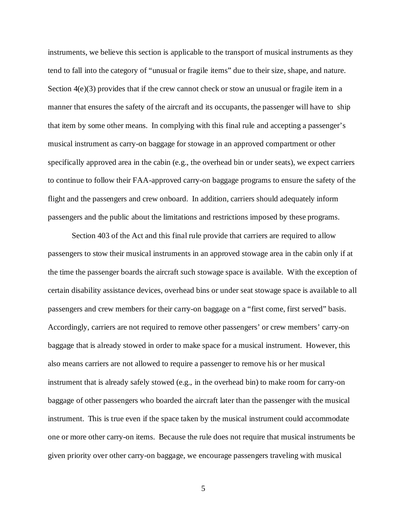instruments, we believe this section is applicable to the transport of musical instruments as they tend to fall into the category of "unusual or fragile items" due to their size, shape, and nature. Section  $4(e)(3)$  provides that if the crew cannot check or stow an unusual or fragile item in a manner that ensures the safety of the aircraft and its occupants, the passenger will have to ship that item by some other means. In complying with this final rule and accepting a passenger's musical instrument as carry-on baggage for stowage in an approved compartment or other specifically approved area in the cabin (e.g., the overhead bin or under seats), we expect carriers to continue to follow their FAA-approved carry-on baggage programs to ensure the safety of the flight and the passengers and crew onboard. In addition, carriers should adequately inform passengers and the public about the limitations and restrictions imposed by these programs.

Section 403 of the Act and this final rule provide that carriers are required to allow passengers to stow their musical instruments in an approved stowage area in the cabin only if at the time the passenger boards the aircraft such stowage space is available. With the exception of certain disability assistance devices, overhead bins or under seat stowage space is available to all passengers and crew members for their carry-on baggage on a "first come, first served" basis. Accordingly, carriers are not required to remove other passengers' or crew members' carry-on baggage that is already stowed in order to make space for a musical instrument. However, this also means carriers are not allowed to require a passenger to remove his or her musical instrument that is already safely stowed (e.g., in the overhead bin) to make room for carry-on baggage of other passengers who boarded the aircraft later than the passenger with the musical instrument. This is true even if the space taken by the musical instrument could accommodate one or more other carry-on items. Because the rule does not require that musical instruments be given priority over other carry-on baggage, we encourage passengers traveling with musical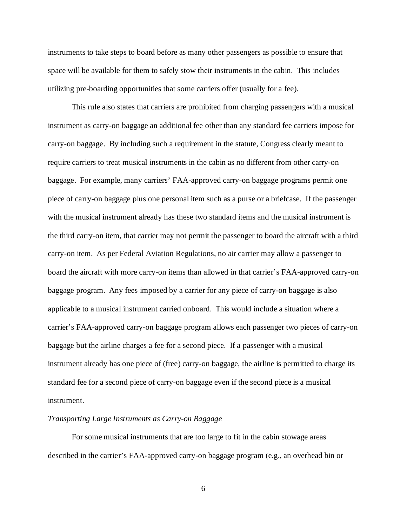instruments to take steps to board before as many other passengers as possible to ensure that space will be available for them to safely stow their instruments in the cabin. This includes utilizing pre-boarding opportunities that some carriers offer (usually for a fee).

This rule also states that carriers are prohibited from charging passengers with a musical instrument as carry-on baggage an additional fee other than any standard fee carriers impose for carry-on baggage. By including such a requirement in the statute, Congress clearly meant to require carriers to treat musical instruments in the cabin as no different from other carry-on baggage. For example, many carriers' FAA-approved carry-on baggage programs permit one piece of carry-on baggage plus one personal item such as a purse or a briefcase. If the passenger with the musical instrument already has these two standard items and the musical instrument is the third carry-on item, that carrier may not permit the passenger to board the aircraft with a third carry-on item. As per Federal Aviation Regulations, no air carrier may allow a passenger to board the aircraft with more carry-on items than allowed in that carrier's FAA-approved carry-on baggage program. Any fees imposed by a carrier for any piece of carry-on baggage is also applicable to a musical instrument carried onboard. This would include a situation where a carrier's FAA-approved carry-on baggage program allows each passenger two pieces of carry-on baggage but the airline charges a fee for a second piece. If a passenger with a musical instrument already has one piece of (free) carry-on baggage, the airline is permitted to charge its standard fee for a second piece of carry-on baggage even if the second piece is a musical instrument.

# *Transporting Large Instruments as Carry-on Baggage*

For some musical instruments that are too large to fit in the cabin stowage areas described in the carrier's FAA-approved carry-on baggage program (e.g., an overhead bin or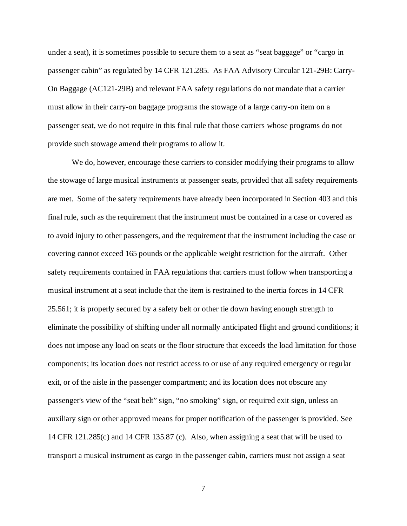under a seat), it is sometimes possible to secure them to a seat as "seat baggage" or "cargo in passenger cabin" as regulated by 14 CFR 121.285. As FAA Advisory Circular 121-29B: Carry-On Baggage (AC121-29B) and relevant FAA safety regulations do not mandate that a carrier must allow in their carry-on baggage programs the stowage of a large carry-on item on a passenger seat, we do not require in this final rule that those carriers whose programs do not provide such stowage amend their programs to allow it.

We do, however, encourage these carriers to consider modifying their programs to allow the stowage of large musical instruments at passenger seats, provided that all safety requirements are met. Some of the safety requirements have already been incorporated in Section 403 and this final rule, such as the requirement that the instrument must be contained in a case or covered as to avoid injury to other passengers, and the requirement that the instrument including the case or covering cannot exceed 165 pounds or the applicable weight restriction for the aircraft. Other safety requirements contained in FAA regulations that carriers must follow when transporting a musical instrument at a seat include that the item is restrained to the inertia forces in 14 CFR 25.561; it is properly secured by a safety belt or other tie down having enough strength to eliminate the possibility of shifting under all normally anticipated flight and ground conditions; it does not impose any load on seats or the floor structure that exceeds the load limitation for those components; its location does not restrict access to or use of any required emergency or regular exit, or of the aisle in the passenger compartment; and its location does not obscure any passenger's view of the "seat belt" sign, "no smoking" sign, or required exit sign, unless an auxiliary sign or other approved means for proper notification of the passenger is provided. See 14 CFR 121.285(c) and 14 CFR 135.87 (c). Also, when assigning a seat that will be used to transport a musical instrument as cargo in the passenger cabin, carriers must not assign a seat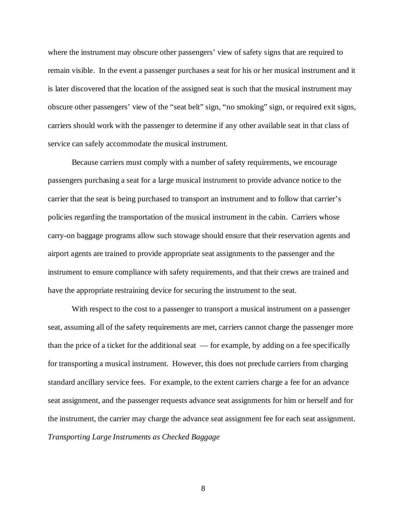where the instrument may obscure other passengers' view of safety signs that are required to remain visible. In the event a passenger purchases a seat for his or her musical instrument and it is later discovered that the location of the assigned seat is such that the musical instrument may obscure other passengers' view of the "seat belt" sign, "no smoking" sign, or required exit signs, carriers should work with the passenger to determine if any other available seat in that class of service can safely accommodate the musical instrument.

Because carriers must comply with a number of safety requirements, we encourage passengers purchasing a seat for a large musical instrument to provide advance notice to the carrier that the seat is being purchased to transport an instrument and to follow that carrier's policies regarding the transportation of the musical instrument in the cabin. Carriers whose carry-on baggage programs allow such stowage should ensure that their reservation agents and airport agents are trained to provide appropriate seat assignments to the passenger and the instrument to ensure compliance with safety requirements, and that their crews are trained and have the appropriate restraining device for securing the instrument to the seat.

With respect to the cost to a passenger to transport a musical instrument on a passenger seat, assuming all of the safety requirements are met, carriers cannot charge the passenger more than the price of a ticket for the additional seat — for example, by adding on a fee specifically for transporting a musical instrument. However, this does not preclude carriers from charging standard ancillary service fees. For example, to the extent carriers charge a fee for an advance seat assignment, and the passenger requests advance seat assignments for him or herself and for the instrument, the carrier may charge the advance seat assignment fee for each seat assignment. *Transporting Large Instruments as Checked Baggage*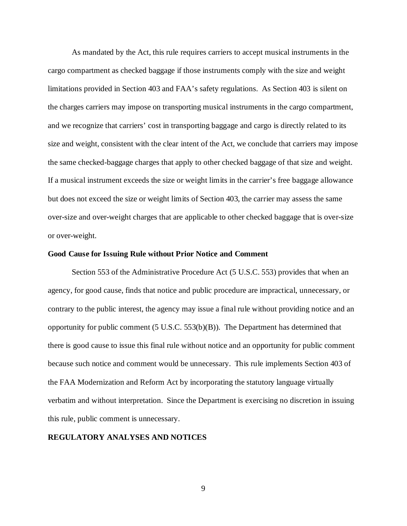As mandated by the Act, this rule requires carriers to accept musical instruments in the cargo compartment as checked baggage if those instruments comply with the size and weight limitations provided in Section 403 and FAA's safety regulations. As Section 403 is silent on the charges carriers may impose on transporting musical instruments in the cargo compartment, and we recognize that carriers' cost in transporting baggage and cargo is directly related to its size and weight, consistent with the clear intent of the Act, we conclude that carriers may impose the same checked-baggage charges that apply to other checked baggage of that size and weight. If a musical instrument exceeds the size or weight limits in the carrier's free baggage allowance but does not exceed the size or weight limits of Section 403, the carrier may assess the same over-size and over-weight charges that are applicable to other checked baggage that is over-size or over-weight.

## **Good Cause for Issuing Rule without Prior Notice and Comment**

Section 553 of the Administrative Procedure Act (5 U.S.C. 553) provides that when an agency, for good cause, finds that notice and public procedure are impractical, unnecessary, or contrary to the public interest, the agency may issue a final rule without providing notice and an opportunity for public comment (5 U.S.C. 553(b)(B)). The Department has determined that there is good cause to issue this final rule without notice and an opportunity for public comment because such notice and comment would be unnecessary. This rule implements Section 403 of the FAA Modernization and Reform Act by incorporating the statutory language virtually verbatim and without interpretation. Since the Department is exercising no discretion in issuing this rule, public comment is unnecessary.

# **REGULATORY ANALYSES AND NOTICES**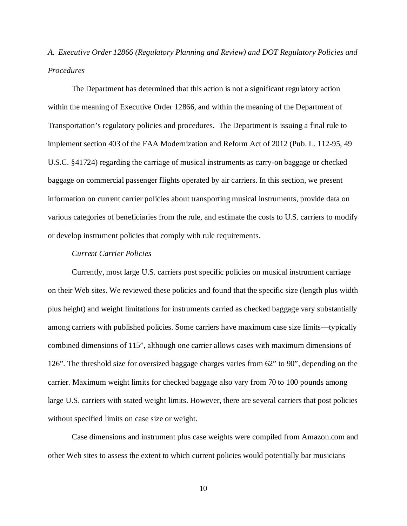*A. Executive Order 12866 (Regulatory Planning and Review) and DOT Regulatory Policies and Procedures*

The Department has determined that this action is not a significant regulatory action within the meaning of Executive Order 12866, and within the meaning of the Department of Transportation's regulatory policies and procedures. The Department is issuing a final rule to implement section 403 of the FAA Modernization and Reform Act of 2012 (Pub. L. 112-95, 49 U.S.C. §41724) regarding the carriage of musical instruments as carry-on baggage or checked baggage on commercial passenger flights operated by air carriers. In this section, we present information on current carrier policies about transporting musical instruments, provide data on various categories of beneficiaries from the rule, and estimate the costs to U.S. carriers to modify or develop instrument policies that comply with rule requirements.

# *Current Carrier Policies*

Currently, most large U.S. carriers post specific policies on musical instrument carriage on their Web sites. We reviewed these policies and found that the specific size (length plus width plus height) and weight limitations for instruments carried as checked baggage vary substantially among carriers with published policies. Some carriers have maximum case size limits—typically combined dimensions of 115", although one carrier allows cases with maximum dimensions of 126". The threshold size for oversized baggage charges varies from 62" to 90", depending on the carrier. Maximum weight limits for checked baggage also vary from 70 to 100 pounds among large U.S. carriers with stated weight limits. However, there are several carriers that post policies without specified limits on case size or weight.

Case dimensions and instrument plus case weights were compiled from Amazon.com and other Web sites to assess the extent to which current policies would potentially bar musicians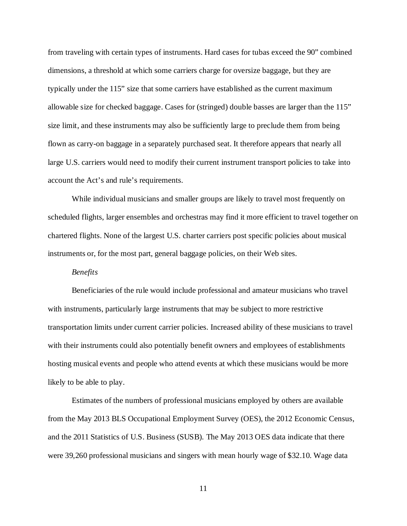from traveling with certain types of instruments. Hard cases for tubas exceed the 90" combined dimensions, a threshold at which some carriers charge for oversize baggage, but they are typically under the 115" size that some carriers have established as the current maximum allowable size for checked baggage. Cases for (stringed) double basses are larger than the 115" size limit, and these instruments may also be sufficiently large to preclude them from being flown as carry-on baggage in a separately purchased seat. It therefore appears that nearly all large U.S. carriers would need to modify their current instrument transport policies to take into account the Act's and rule's requirements.

While individual musicians and smaller groups are likely to travel most frequently on scheduled flights, larger ensembles and orchestras may find it more efficient to travel together on chartered flights. None of the largest U.S. charter carriers post specific policies about musical instruments or, for the most part, general baggage policies, on their Web sites.

# *Benefits*

Beneficiaries of the rule would include professional and amateur musicians who travel with instruments, particularly large instruments that may be subject to more restrictive transportation limits under current carrier policies. Increased ability of these musicians to travel with their instruments could also potentially benefit owners and employees of establishments hosting musical events and people who attend events at which these musicians would be more likely to be able to play.

Estimates of the numbers of professional musicians employed by others are available from the May 2013 BLS Occupational Employment Survey (OES), the 2012 Economic Census, and the 2011 Statistics of U.S. Business (SUSB). The May 2013 OES data indicate that there were 39,260 professional musicians and singers with mean hourly wage of \$32.10. Wage data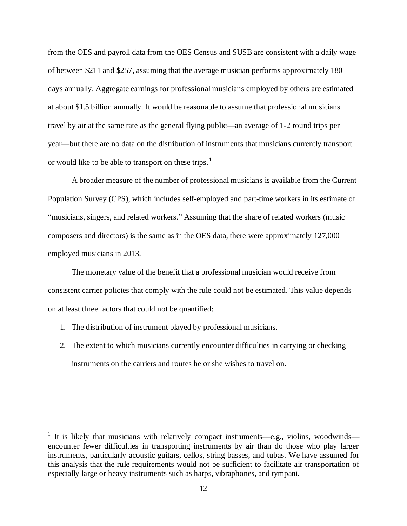from the OES and payroll data from the OES Census and SUSB are consistent with a daily wage of between \$211 and \$257, assuming that the average musician performs approximately 180 days annually. Aggregate earnings for professional musicians employed by others are estimated at about \$1.5 billion annually. It would be reasonable to assume that professional musicians travel by air at the same rate as the general flying public—an average of 1-2 round trips per year—but there are no data on the distribution of instruments that musicians currently transport or would like to be able to transport on these trips.<sup>[1](#page-11-0)</sup>

A broader measure of the number of professional musicians is available from the Current Population Survey (CPS), which includes self-employed and part-time workers in its estimate of "musicians, singers, and related workers." Assuming that the share of related workers (music composers and directors) is the same as in the OES data, there were approximately 127,000 employed musicians in 2013.

The monetary value of the benefit that a professional musician would receive from consistent carrier policies that comply with the rule could not be estimated. This value depends on at least three factors that could not be quantified:

- 1. The distribution of instrument played by professional musicians.
- 2. The extent to which musicians currently encounter difficulties in carrying or checking instruments on the carriers and routes he or she wishes to travel on.

<span id="page-11-0"></span> $1$  It is likely that musicians with relatively compact instruments—e.g., violins, woodwinds encounter fewer difficulties in transporting instruments by air than do those who play larger instruments, particularly acoustic guitars, cellos, string basses, and tubas. We have assumed for this analysis that the rule requirements would not be sufficient to facilitate air transportation of especially large or heavy instruments such as harps, vibraphones, and tympani.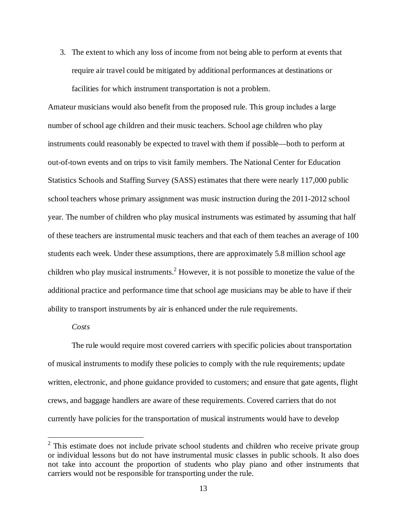3. The extent to which any loss of income from not being able to perform at events that require air travel could be mitigated by additional performances at destinations or facilities for which instrument transportation is not a problem.

Amateur musicians would also benefit from the proposed rule. This group includes a large number of school age children and their music teachers. School age children who play instruments could reasonably be expected to travel with them if possible—both to perform at out-of-town events and on trips to visit family members. The National Center for Education Statistics Schools and Staffing Survey (SASS) estimates that there were nearly 117,000 public school teachers whose primary assignment was music instruction during the 2011-2012 school year. The number of children who play musical instruments was estimated by assuming that half of these teachers are instrumental music teachers and that each of them teaches an average of 100 students each week. Under these assumptions, there are approximately 5.8 million school age children who play musical instruments.<sup>[2](#page-12-0)</sup> However, it is not possible to monetize the value of the additional practice and performance time that school age musicians may be able to have if their ability to transport instruments by air is enhanced under the rule requirements.

# *Costs*

The rule would require most covered carriers with specific policies about transportation of musical instruments to modify these policies to comply with the rule requirements; update written, electronic, and phone guidance provided to customers; and ensure that gate agents, flight crews, and baggage handlers are aware of these requirements. Covered carriers that do not currently have policies for the transportation of musical instruments would have to develop

<span id="page-12-0"></span><sup>&</sup>lt;sup>2</sup> This estimate does not include private school students and children who receive private group or individual lessons but do not have instrumental music classes in public schools. It also does not take into account the proportion of students who play piano and other instruments that carriers would not be responsible for transporting under the rule.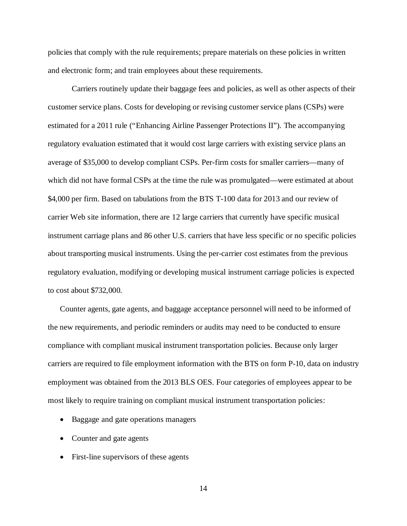policies that comply with the rule requirements; prepare materials on these policies in written and electronic form; and train employees about these requirements.

Carriers routinely update their baggage fees and policies, as well as other aspects of their customer service plans. Costs for developing or revising customer service plans (CSPs) were estimated for a 2011 rule ("Enhancing Airline Passenger Protections II"). The accompanying regulatory evaluation estimated that it would cost large carriers with existing service plans an average of \$35,000 to develop compliant CSPs. Per-firm costs for smaller carriers—many of which did not have formal CSPs at the time the rule was promulgated—were estimated at about \$4,000 per firm. Based on tabulations from the BTS T-100 data for 2013 and our review of carrier Web site information, there are 12 large carriers that currently have specific musical instrument carriage plans and 86 other U.S. carriers that have less specific or no specific policies about transporting musical instruments. Using the per-carrier cost estimates from the previous regulatory evaluation, modifying or developing musical instrument carriage policies is expected to cost about \$732,000.

Counter agents, gate agents, and baggage acceptance personnel will need to be informed of the new requirements, and periodic reminders or audits may need to be conducted to ensure compliance with compliant musical instrument transportation policies. Because only larger carriers are required to file employment information with the BTS on form P-10, data on industry employment was obtained from the 2013 BLS OES. Four categories of employees appear to be most likely to require training on compliant musical instrument transportation policies:

- Baggage and gate operations managers
- Counter and gate agents
- First-line supervisors of these agents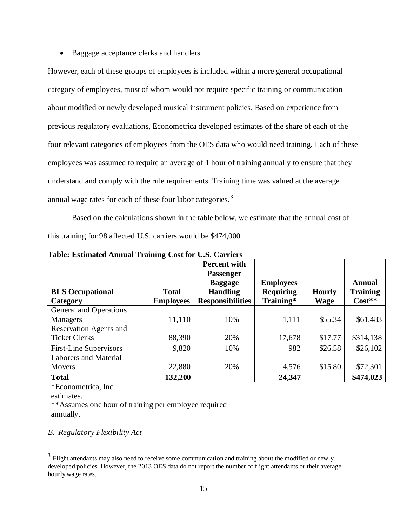• Baggage acceptance clerks and handlers

However, each of these groups of employees is included within a more general occupational category of employees, most of whom would not require specific training or communication about modified or newly developed musical instrument policies. Based on experience from previous regulatory evaluations, Econometrica developed estimates of the share of each of the four relevant categories of employees from the OES data who would need training. Each of these employees was assumed to require an average of 1 hour of training annually to ensure that they understand and comply with the rule requirements. Training time was valued at the average annual wage rates for each of these four labor categories.<sup>[3](#page-14-0)</sup>

Based on the calculations shown in the table below, we estimate that the annual cost of this training for 98 affected U.S. carriers would be \$474,000.

|                               |                  | <b>Percent with</b><br><b>Passenger</b> |                  |               |                 |
|-------------------------------|------------------|-----------------------------------------|------------------|---------------|-----------------|
|                               |                  | <b>Baggage</b>                          | <b>Employees</b> |               | Annual          |
| <b>BLS</b> Occupational       | <b>Total</b>     | <b>Handling</b>                         | <b>Requiring</b> | <b>Hourly</b> | <b>Training</b> |
| Category                      | <b>Employees</b> | <b>Responsibilities</b>                 | Training*        | <b>Wage</b>   | $Cost**$        |
| General and Operations        |                  |                                         |                  |               |                 |
| Managers                      | 11,110           | 10%                                     | 1,111            | \$55.34       | \$61,483        |
| <b>Reservation Agents and</b> |                  |                                         |                  |               |                 |
| <b>Ticket Clerks</b>          | 88,390           | 20%                                     | 17,678           | \$17.77       | \$314,138       |
| <b>First-Line Supervisors</b> | 9,820            | 10%                                     | 982              | \$26.58       | \$26,102        |
| <b>Laborers and Material</b>  |                  |                                         |                  |               |                 |
| <b>Movers</b>                 | 22,880           | 20%                                     | 4,576            | \$15.80       | \$72,301        |
| <b>Total</b>                  | 132,200          |                                         | 24,347           |               | \$474,023       |

**Table: Estimated Annual Training Cost for U.S. Carriers**

\*Econometrica, Inc.

estimates.

\*\*Assumes one hour of training per employee required annually.

# *B. Regulatory Flexibility Act*

<span id="page-14-0"></span><sup>&</sup>lt;sup>3</sup> Flight attendants may also need to receive some communication and training about the modified or newly developed policies. However, the 2013 OES data do not report the number of flight attendants or their average hourly wage rates.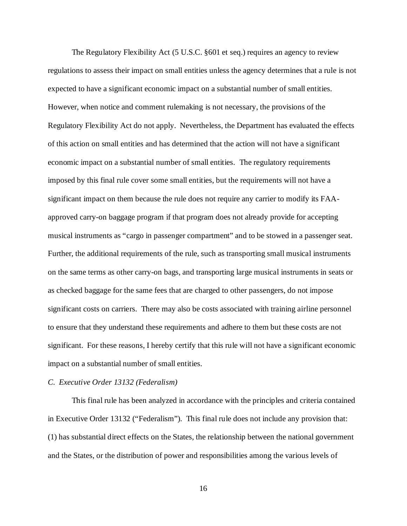The Regulatory Flexibility Act (5 U.S.C. §601 et seq.) requires an agency to review regulations to assess their impact on small entities unless the agency determines that a rule is not expected to have a significant economic impact on a substantial number of small entities. However, when notice and comment rulemaking is not necessary, the provisions of the Regulatory Flexibility Act do not apply. Nevertheless, the Department has evaluated the effects of this action on small entities and has determined that the action will not have a significant economic impact on a substantial number of small entities. The regulatory requirements imposed by this final rule cover some small entities, but the requirements will not have a significant impact on them because the rule does not require any carrier to modify its FAAapproved carry-on baggage program if that program does not already provide for accepting musical instruments as "cargo in passenger compartment" and to be stowed in a passenger seat. Further, the additional requirements of the rule, such as transporting small musical instruments on the same terms as other carry-on bags, and transporting large musical instruments in seats or as checked baggage for the same fees that are charged to other passengers, do not impose significant costs on carriers. There may also be costs associated with training airline personnel to ensure that they understand these requirements and adhere to them but these costs are not significant. For these reasons, I hereby certify that this rule will not have a significant economic impact on a substantial number of small entities.

#### *C. Executive Order 13132 (Federalism)*

This final rule has been analyzed in accordance with the principles and criteria contained in Executive Order 13132 ("Federalism"). This final rule does not include any provision that: (1) has substantial direct effects on the States, the relationship between the national government and the States, or the distribution of power and responsibilities among the various levels of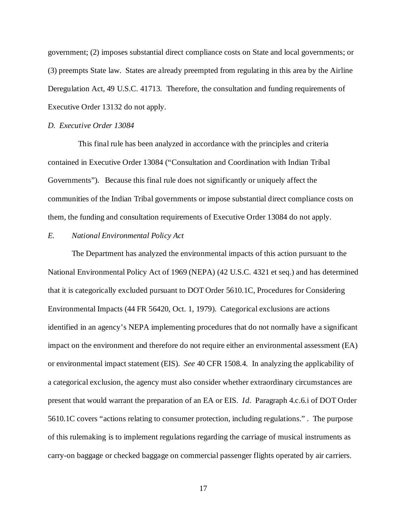government; (2) imposes substantial direct compliance costs on State and local governments; or (3) preempts State law. States are already preempted from regulating in this area by the Airline Deregulation Act, 49 U.S.C. 41713. Therefore, the consultation and funding requirements of Executive Order 13132 do not apply.

#### *D. Executive Order 13084*

This final rule has been analyzed in accordance with the principles and criteria contained in Executive Order 13084 ("Consultation and Coordination with Indian Tribal Governments"). Because this final rule does not significantly or uniquely affect the communities of the Indian Tribal governments or impose substantial direct compliance costs on them, the funding and consultation requirements of Executive Order 13084 do not apply.

# *E. National Environmental Policy Act*

The Department has analyzed the environmental impacts of this action pursuant to the National Environmental Policy Act of 1969 (NEPA) (42 U.S.C. 4321 et seq.) and has determined that it is categorically excluded pursuant to DOT Order 5610.1C, Procedures for Considering Environmental Impacts (44 FR 56420, Oct. 1, 1979). Categorical exclusions are actions identified in an agency's NEPA implementing procedures that do not normally have a significant impact on the environment and therefore do not require either an environmental assessment (EA) or environmental impact statement (EIS). *See* 40 CFR 1508.4. In analyzing the applicability of a categorical exclusion, the agency must also consider whether extraordinary circumstances are present that would warrant the preparation of an EA or EIS. *Id.* Paragraph 4.c.6.i of DOT Order 5610.1C covers "actions relating to consumer protection, including regulations." . The purpose of this rulemaking is to implement regulations regarding the carriage of musical instruments as carry-on baggage or checked baggage on commercial passenger flights operated by air carriers.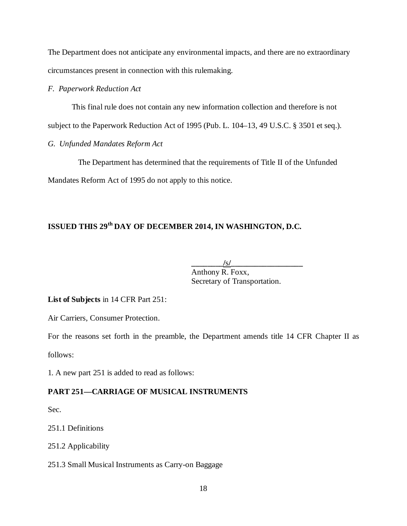The Department does not anticipate any environmental impacts, and there are no extraordinary circumstances present in connection with this rulemaking.

# *F. Paperwork Reduction Act*

This final rule does not contain any new information collection and therefore is not

subject to the Paperwork Reduction Act of 1995 (Pub. L. 104–13, 49 U.S.C. § 3501 et seq.).

# *G. Unfunded Mandates Reform Act*

The Department has determined that the requirements of Title II of the Unfunded Mandates Reform Act of 1995 do not apply to this notice.

# **ISSUED THIS 29th DAY OF DECEMBER 2014, IN WASHINGTON, D.C.**

**\_\_\_\_\_\_\_\_/**s**/\_\_\_\_\_\_\_\_\_\_\_\_\_\_\_\_\_\_** Anthony R. Foxx, Secretary of Transportation.

**List of Subjects** in 14 CFR Part 251:

Air Carriers, Consumer Protection.

For the reasons set forth in the preamble, the Department amends title 14 CFR Chapter II as follows:

1*.* A new part 251 is added to read as follows:

# **PART 251—CARRIAGE OF MUSICAL INSTRUMENTS**

Sec.

251.1 Definitions

251.2 Applicability

251.3 Small Musical Instruments as Carry-on Baggage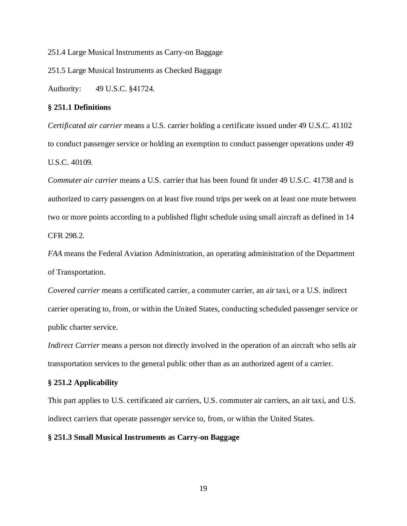251.4 Large Musical Instruments as Carry-on Baggage

251.5 Large Musical Instruments as Checked Baggage

Authority: 49 U.S.C. §41724.

# **§ 251.1 Definitions**

*Certificated air carrier* means a U.S. carrier holding a certificate issued under 49 U.S.C. 41102 to conduct passenger service or holding an exemption to conduct passenger operations under 49 U.S.C. 40109.

*Commuter air carrier* means a U.S. carrier that has been found fit under 49 U.S.C. 41738 and is authorized to carry passengers on at least five round trips per week on at least one route between two or more points according to a published flight schedule using small aircraft as defined in 14 CFR 298.2.

*FAA* means the Federal Aviation Administration, an operating administration of the Department of Transportation.

*Covered carrier* means a certificated carrier, a commuter carrier, an air taxi, or a U.S. indirect carrier operating to, from, or within the United States, conducting scheduled passenger service or public charter service.

*Indirect Carrier* means a person not directly involved in the operation of an aircraft who sells air transportation services to the general public other than as an authorized agent of a carrier.

#### **§ 251.2 Applicability**

This part applies to U.S. certificated air carriers, U.S. commuter air carriers, an air taxi, and U.S. indirect carriers that operate passenger service to, from, or within the United States.

# **§ 251.3 Small Musical Instruments as Carry-on Baggage**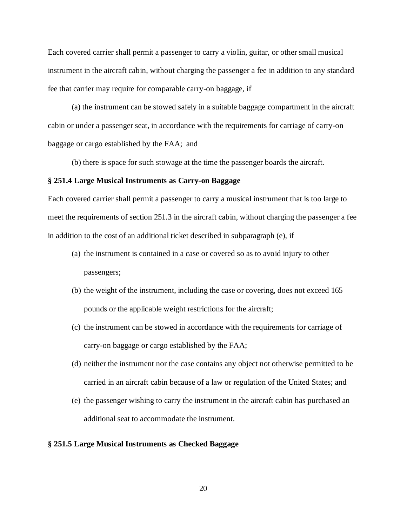Each covered carrier shall permit a passenger to carry a violin, guitar, or other small musical instrument in the aircraft cabin, without charging the passenger a fee in addition to any standard fee that carrier may require for comparable carry-on baggage, if

(a) the instrument can be stowed safely in a suitable baggage compartment in the aircraft cabin or under a passenger seat, in accordance with the requirements for carriage of carry-on baggage or cargo established by the FAA; and

(b) there is space for such stowage at the time the passenger boards the aircraft.

# **§ 251.4 Large Musical Instruments as Carry-on Baggage**

Each covered carrier shall permit a passenger to carry a musical instrument that is too large to meet the requirements of section 251.3 in the aircraft cabin, without charging the passenger a fee in addition to the cost of an additional ticket described in subparagraph (e), if

- (a) the instrument is contained in a case or covered so as to avoid injury to other passengers;
- (b) the weight of the instrument, including the case or covering, does not exceed 165 pounds or the applicable weight restrictions for the aircraft;
- (c) the instrument can be stowed in accordance with the requirements for carriage of carry-on baggage or cargo established by the FAA;
- (d) neither the instrument nor the case contains any object not otherwise permitted to be carried in an aircraft cabin because of a law or regulation of the United States; and
- (e) the passenger wishing to carry the instrument in the aircraft cabin has purchased an additional seat to accommodate the instrument.

# **§ 251.5 Large Musical Instruments as Checked Baggage**